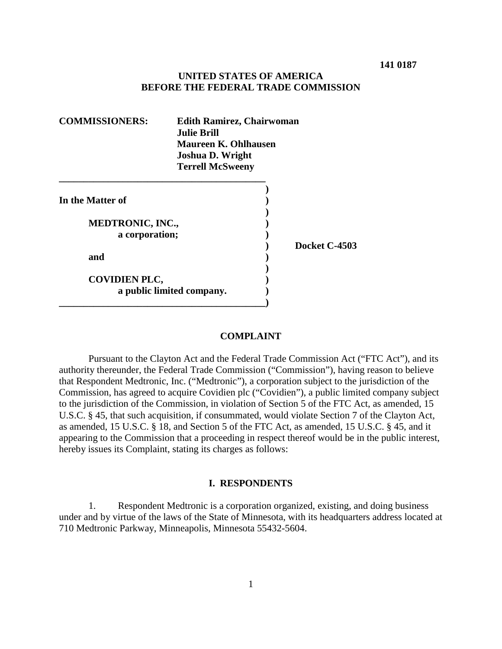## **UNITED STATES OF AMERICA BEFORE THE FEDERAL TRADE COMMISSION**

| <b>COMMISSIONERS:</b>   | <b>Edith Ramirez, Chairwoman</b><br>Julie Brill.<br><b>Maureen K. Ohlhausen</b><br><b>Joshua D. Wright</b><br><b>Terrell McSweeny</b> |  |               |
|-------------------------|---------------------------------------------------------------------------------------------------------------------------------------|--|---------------|
|                         |                                                                                                                                       |  |               |
| In the Matter of        |                                                                                                                                       |  |               |
| <b>MEDTRONIC, INC.,</b> |                                                                                                                                       |  |               |
| a corporation;          |                                                                                                                                       |  |               |
| and                     |                                                                                                                                       |  | Docket C-4503 |
| <b>COVIDIEN PLC,</b>    | a public limited company.                                                                                                             |  |               |

#### **COMPLAINT**

Pursuant to the Clayton Act and the Federal Trade Commission Act ("FTC Act"), and its authority thereunder, the Federal Trade Commission ("Commission"), having reason to believe that Respondent Medtronic, Inc. ("Medtronic"), a corporation subject to the jurisdiction of the Commission, has agreed to acquire Covidien plc ("Covidien"), a public limited company subject to the jurisdiction of the Commission, in violation of Section 5 of the FTC Act, as amended, 15 U.S.C. § 45, that such acquisition, if consummated, would violate Section 7 of the Clayton Act, as amended, 15 U.S.C. § 18, and Section 5 of the FTC Act, as amended, 15 U.S.C. § 45, and it appearing to the Commission that a proceeding in respect thereof would be in the public interest, hereby issues its Complaint, stating its charges as follows:

#### **I. RESPONDENTS**

1. Respondent Medtronic is a corporation organized, existing, and doing business under and by virtue of the laws of the State of Minnesota, with its headquarters address located at 710 Medtronic Parkway, Minneapolis, Minnesota 55432-5604.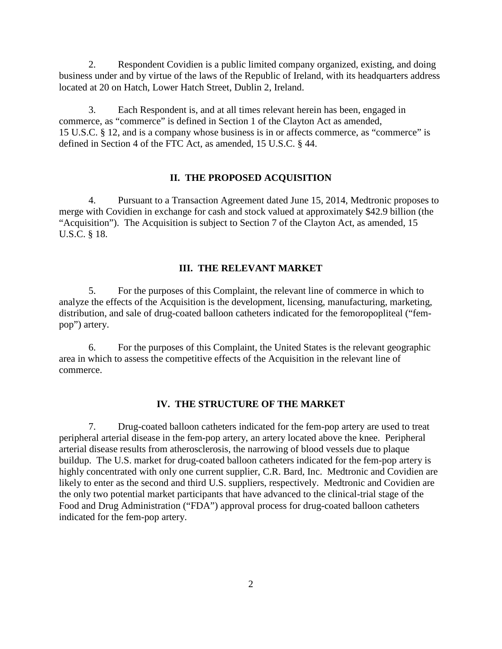2. Respondent Covidien is a public limited company organized, existing, and doing business under and by virtue of the laws of the Republic of Ireland, with its headquarters address located at 20 on Hatch, Lower Hatch Street, Dublin 2, Ireland.

3. Each Respondent is, and at all times relevant herein has been, engaged in commerce, as "commerce" is defined in Section 1 of the Clayton Act as amended, 15 U.S.C. § 12, and is a company whose business is in or affects commerce, as "commerce" is defined in Section 4 of the FTC Act, as amended, 15 U.S.C. § 44.

## **II. THE PROPOSED ACQUISITION**

4. Pursuant to a Transaction Agreement dated June 15, 2014, Medtronic proposes to merge with Covidien in exchange for cash and stock valued at approximately \$42.9 billion (the "Acquisition"). The Acquisition is subject to Section 7 of the Clayton Act, as amended, 15 U.S.C. § 18.

#### **III. THE RELEVANT MARKET**

5. For the purposes of this Complaint, the relevant line of commerce in which to analyze the effects of the Acquisition is the development, licensing, manufacturing, marketing, distribution, and sale of drug-coated balloon catheters indicated for the femoropopliteal ("fempop") artery.

6. For the purposes of this Complaint, the United States is the relevant geographic area in which to assess the competitive effects of the Acquisition in the relevant line of commerce.

#### **IV. THE STRUCTURE OF THE MARKET**

7. Drug-coated balloon catheters indicated for the fem-pop artery are used to treat peripheral arterial disease in the fem-pop artery, an artery located above the knee. Peripheral arterial disease results from atherosclerosis, the narrowing of blood vessels due to plaque buildup. The U.S. market for drug-coated balloon catheters indicated for the fem-pop artery is highly concentrated with only one current supplier, C.R. Bard, Inc. Medtronic and Covidien are likely to enter as the second and third U.S. suppliers, respectively. Medtronic and Covidien are the only two potential market participants that have advanced to the clinical-trial stage of the Food and Drug Administration ("FDA") approval process for drug-coated balloon catheters indicated for the fem-pop artery.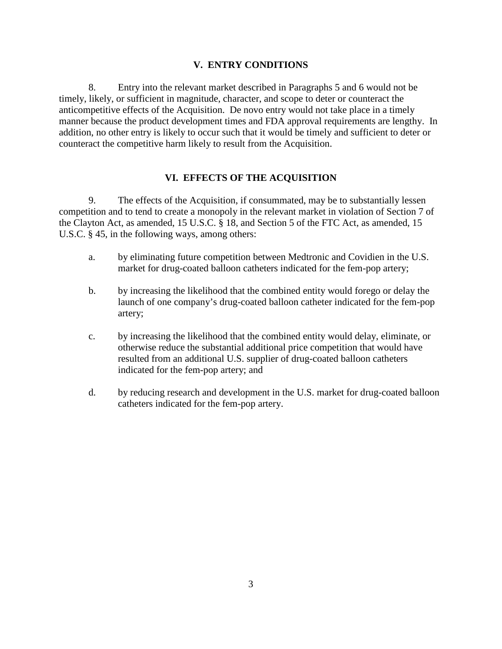## **V. ENTRY CONDITIONS**

8. Entry into the relevant market described in Paragraphs 5 and 6 would not be timely, likely, or sufficient in magnitude, character, and scope to deter or counteract the anticompetitive effects of the Acquisition. De novo entry would not take place in a timely manner because the product development times and FDA approval requirements are lengthy. In addition, no other entry is likely to occur such that it would be timely and sufficient to deter or counteract the competitive harm likely to result from the Acquisition.

# **VI. EFFECTS OF THE ACQUISITION**

9. The effects of the Acquisition, if consummated, may be to substantially lessen competition and to tend to create a monopoly in the relevant market in violation of Section 7 of the Clayton Act, as amended, 15 U.S.C. § 18, and Section 5 of the FTC Act, as amended, 15 U.S.C. § 45, in the following ways, among others:

- a. by eliminating future competition between Medtronic and Covidien in the U.S. market for drug-coated balloon catheters indicated for the fem-pop artery;
- b. by increasing the likelihood that the combined entity would forego or delay the launch of one company's drug-coated balloon catheter indicated for the fem-pop artery;
- c. by increasing the likelihood that the combined entity would delay, eliminate, or otherwise reduce the substantial additional price competition that would have resulted from an additional U.S. supplier of drug-coated balloon catheters indicated for the fem-pop artery; and
- d. by reducing research and development in the U.S. market for drug-coated balloon catheters indicated for the fem-pop artery.